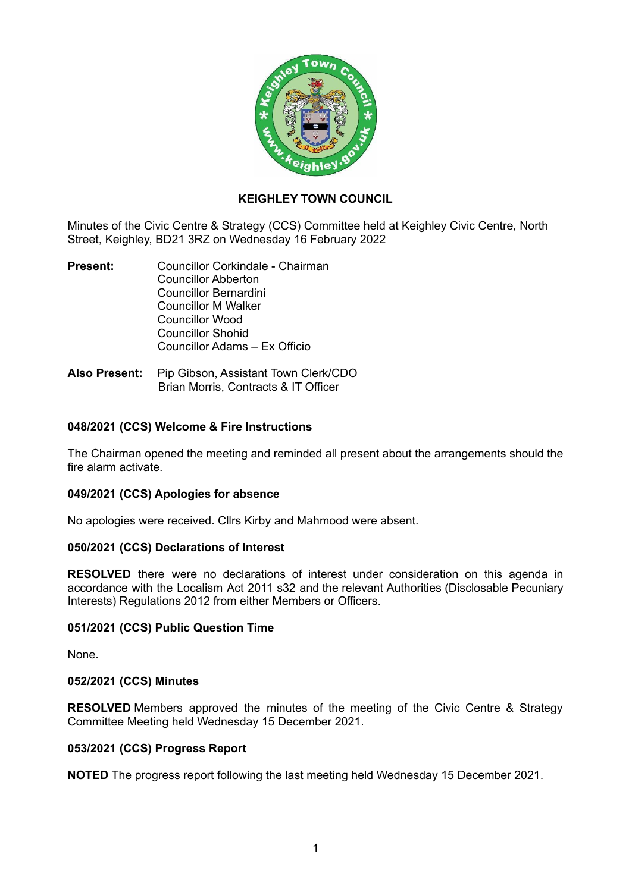

## **KEIGHLEY TOWN COUNCIL**

Minutes of the Civic Centre & Strategy (CCS) Committee held at Keighley Civic Centre, North Street, Keighley, BD21 3RZ on Wednesday 16 February 2022

- **Present:** Councillor Corkindale Chairman Councillor Abberton Councillor Bernardini Councillor M Walker Councillor Wood Councillor Shohid Councillor Adams – Ex Officio
- **Also Present:** Pip Gibson, Assistant Town Clerk/CDO Brian Morris, Contracts & IT Officer

## **048/2021 (CCS) Welcome & Fire Instructions**

The Chairman opened the meeting and reminded all present about the arrangements should the fire alarm activate.

#### **049/2021 (CCS) Apologies for absence**

No apologies were received. Cllrs Kirby and Mahmood were absent.

#### **050/2021 (CCS) Declarations of Interest**

**RESOLVED** there were no declarations of interest under consideration on this agenda in accordance with the Localism Act 2011 s32 and the relevant Authorities (Disclosable Pecuniary Interests) Regulations 2012 from either Members or Officers.

#### **051/2021 (CCS) Public Question Time**

None.

#### **052/2021 (CCS) Minutes**

**RESOLVED** Members approved the minutes of the meeting of the Civic Centre & Strategy Committee Meeting held Wednesday 15 December 2021.

#### **053/2021 (CCS) Progress Report**

**NOTED** The progress report following the last meeting held Wednesday 15 December 2021.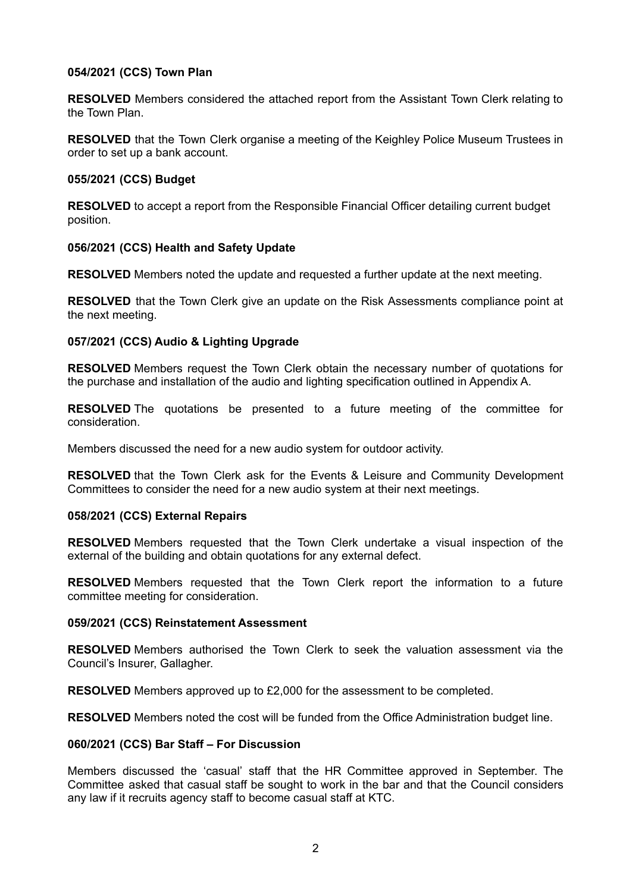## **054/2021 (CCS) Town Plan**

**RESOLVED** Members considered the attached report from the Assistant Town Clerk relating to the Town Plan.

**RESOLVED** that the Town Clerk organise a meeting of the Keighley Police Museum Trustees in order to set up a bank account.

#### **055/2021 (CCS) Budget**

**RESOLVED** to accept a report from the Responsible Financial Officer detailing current budget position.

## **056/2021 (CCS) Health and Safety Update**

**RESOLVED** Members noted the update and requested a further update at the next meeting.

**RESOLVED** that the Town Clerk give an update on the Risk Assessments compliance point at the next meeting.

## **057/2021 (CCS) Audio & Lighting Upgrade**

**RESOLVED** Members request the Town Clerk obtain the necessary number of quotations for the purchase and installation of the audio and lighting specification outlined in Appendix A.

**RESOLVED** The quotations be presented to a future meeting of the committee for consideration.

Members discussed the need for a new audio system for outdoor activity.

**RESOLVED** that the Town Clerk ask for the Events & Leisure and Community Development Committees to consider the need for a new audio system at their next meetings.

## **058/2021 (CCS) External Repairs**

**RESOLVED** Members requested that the Town Clerk undertake a visual inspection of the external of the building and obtain quotations for any external defect.

**RESOLVED** Members requested that the Town Clerk report the information to a future committee meeting for consideration.

## **059/2021 (CCS) Reinstatement Assessment**

**RESOLVED** Members authorised the Town Clerk to seek the valuation assessment via the Council's Insurer, Gallagher.

**RESOLVED** Members approved up to £2,000 for the assessment to be completed.

**RESOLVED** Members noted the cost will be funded from the Office Administration budget line.

## **060/2021 (CCS) Bar Staff – For Discussion**

Members discussed the 'casual' staff that the HR Committee approved in September. The Committee asked that casual staff be sought to work in the bar and that the Council considers any law if it recruits agency staff to become casual staff at KTC.